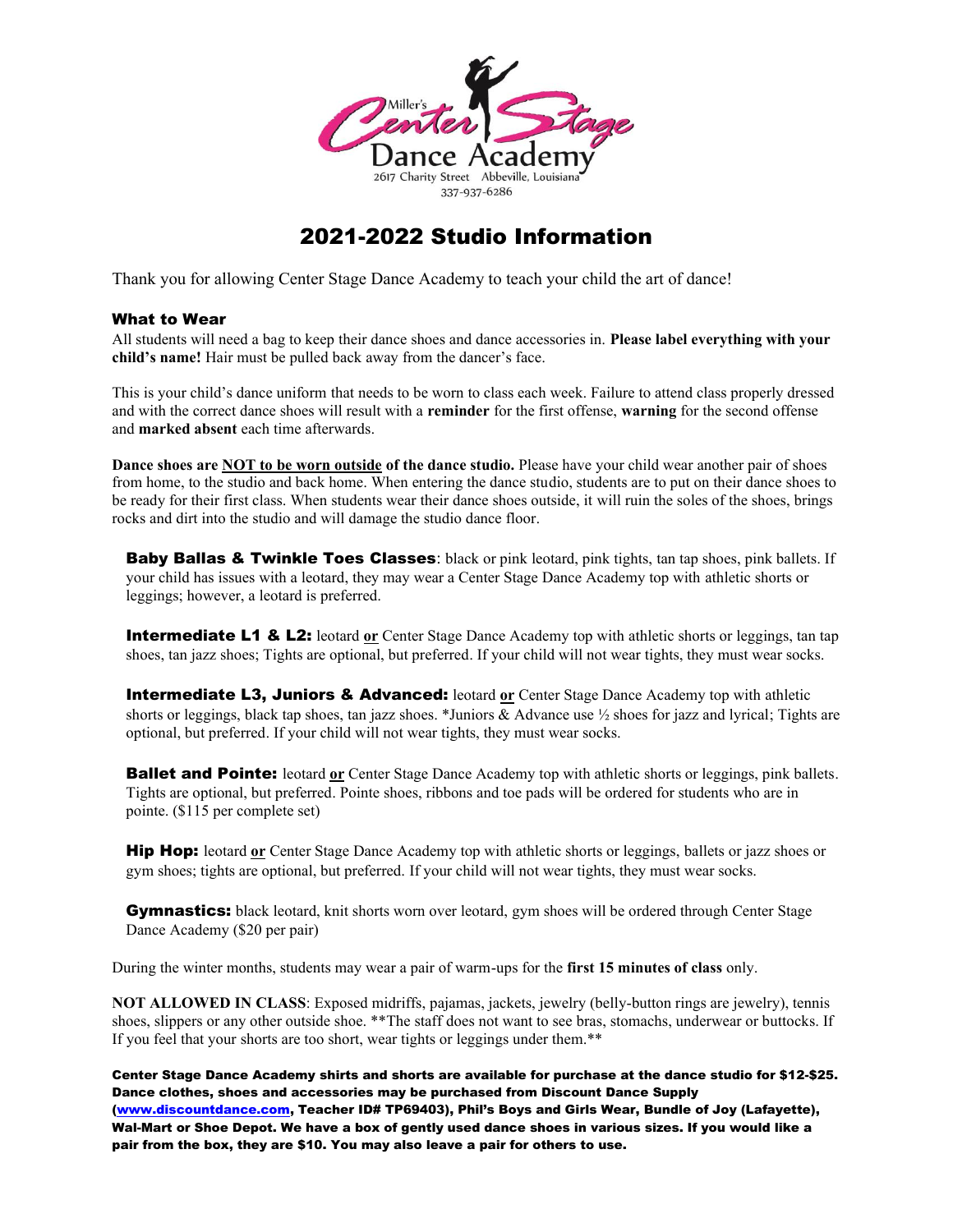

# 2021-2022 Studio Information

Thank you for allowing Center Stage Dance Academy to teach your child the art of dance!

### What to Wear

All students will need a bag to keep their dance shoes and dance accessories in. **Please label everything with your child's name!** Hair must be pulled back away from the dancer's face.

This is your child's dance uniform that needs to be worn to class each week. Failure to attend class properly dressed and with the correct dance shoes will result with a **reminder** for the first offense, **warning** for the second offense and **marked absent** each time afterwards.

**Dance shoes are NOT to be worn outside of the dance studio.** Please have your child wear another pair of shoes from home, to the studio and back home. When entering the dance studio, students are to put on their dance shoes to be ready for their first class. When students wear their dance shoes outside, it will ruin the soles of the shoes, brings rocks and dirt into the studio and will damage the studio dance floor.

Baby Ballas & Twinkle Toes Classes: black or pink leotard, pink tights, tan tap shoes, pink ballets. If your child has issues with a leotard, they may wear a Center Stage Dance Academy top with athletic shorts or leggings; however, a leotard is preferred.

**Intermediate L1 & L2:** leotard or Center Stage Dance Academy top with athletic shorts or leggings, tan tap shoes, tan jazz shoes; Tights are optional, but preferred. If your child will not wear tights, they must wear socks.

**Intermediate L3, Juniors & Advanced:** leotard or Center Stage Dance Academy top with athletic shorts or leggings, black tap shoes, tan jazz shoes. \*Juniors & Advance use ½ shoes for jazz and lyrical; Tights are optional, but preferred. If your child will not wear tights, they must wear socks.

**Ballet and Pointe:** leotard or Center Stage Dance Academy top with athletic shorts or leggings, pink ballets. Tights are optional, but preferred. Pointe shoes, ribbons and toe pads will be ordered for students who are in pointe. (\$115 per complete set)

Hip Hop: leotard **or** Center Stage Dance Academy top with athletic shorts or leggings, ballets or jazz shoes or gym shoes; tights are optional, but preferred. If your child will not wear tights, they must wear socks.

**Gymnastics:** black leotard, knit shorts worn over leotard, gym shoes will be ordered through Center Stage Dance Academy (\$20 per pair)

During the winter months, students may wear a pair of warm-ups for the **first 15 minutes of class** only.

**NOT ALLOWED IN CLASS**: Exposed midriffs, pajamas, jackets, jewelry (belly-button rings are jewelry), tennis shoes, slippers or any other outside shoe. \*\*The staff does not want to see bras, stomachs, underwear or buttocks. If If you feel that your shorts are too short, wear tights or leggings under them.\*\*

Center Stage Dance Academy shirts and shorts are available for purchase at the dance studio for \$12-\$25. Dance clothes, shoes and accessories may be purchased from Discount Dance Supply [\(www.discountdance.com,](http://www.discountdance.com/) Teacher ID# TP69403), Phil's Boys and Girls Wear, Bundle of Joy (Lafayette), Wal-Mart or Shoe Depot. We have a box of gently used dance shoes in various sizes. If you would like a pair from the box, they are \$10. You may also leave a pair for others to use.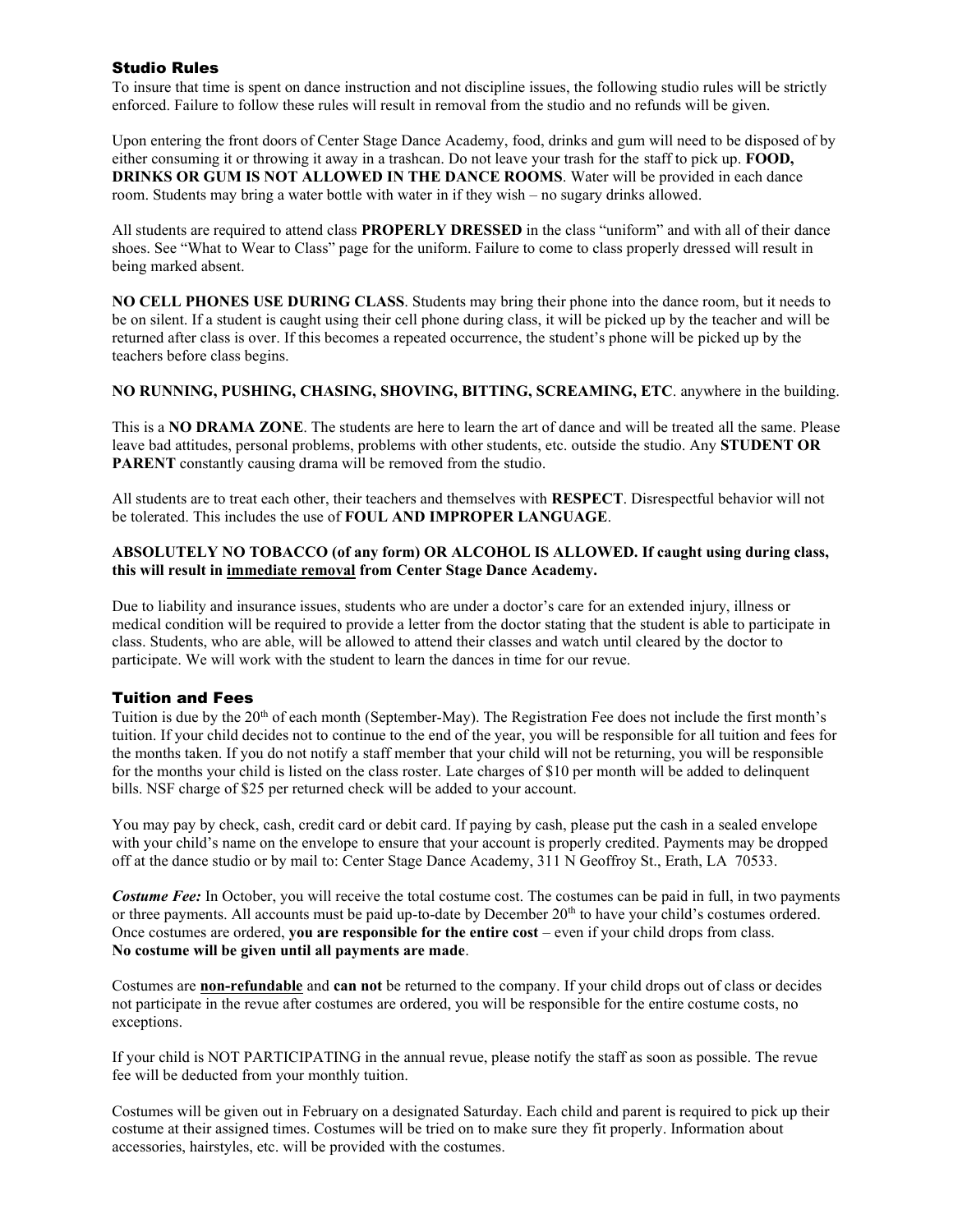## Studio Rules

To insure that time is spent on dance instruction and not discipline issues, the following studio rules will be strictly enforced. Failure to follow these rules will result in removal from the studio and no refunds will be given.

Upon entering the front doors of Center Stage Dance Academy, food, drinks and gum will need to be disposed of by either consuming it or throwing it away in a trashcan. Do not leave your trash for the staff to pick up. **FOOD, DRINKS OR GUM IS NOT ALLOWED IN THE DANCE ROOMS**. Water will be provided in each dance room. Students may bring a water bottle with water in if they wish – no sugary drinks allowed.

All students are required to attend class **PROPERLY DRESSED** in the class "uniform" and with all of their dance shoes. See "What to Wear to Class" page for the uniform. Failure to come to class properly dressed will result in being marked absent.

**NO CELL PHONES USE DURING CLASS**. Students may bring their phone into the dance room, but it needs to be on silent. If a student is caught using their cell phone during class, it will be picked up by the teacher and will be returned after class is over. If this becomes a repeated occurrence, the student's phone will be picked up by the teachers before class begins.

**NO RUNNING, PUSHING, CHASING, SHOVING, BITTING, SCREAMING, ETC**. anywhere in the building.

This is a **NO DRAMA ZONE**. The students are here to learn the art of dance and will be treated all the same. Please leave bad attitudes, personal problems, problems with other students, etc. outside the studio. Any **STUDENT OR PARENT** constantly causing drama will be removed from the studio.

All students are to treat each other, their teachers and themselves with **RESPECT**. Disrespectful behavior will not be tolerated. This includes the use of **FOUL AND IMPROPER LANGUAGE**.

#### **ABSOLUTELY NO TOBACCO (of any form) OR ALCOHOL IS ALLOWED. If caught using during class, this will result in immediate removal from Center Stage Dance Academy.**

Due to liability and insurance issues, students who are under a doctor's care for an extended injury, illness or medical condition will be required to provide a letter from the doctor stating that the student is able to participate in class. Students, who are able, will be allowed to attend their classes and watch until cleared by the doctor to participate. We will work with the student to learn the dances in time for our revue.

#### Tuition and Fees

Tuition is due by the 20<sup>th</sup> of each month (September-May). The Registration Fee does not include the first month's tuition. If your child decides not to continue to the end of the year, you will be responsible for all tuition and fees for the months taken. If you do not notify a staff member that your child will not be returning, you will be responsible for the months your child is listed on the class roster. Late charges of \$10 per month will be added to delinquent bills. NSF charge of \$25 per returned check will be added to your account.

You may pay by check, cash, credit card or debit card. If paying by cash, please put the cash in a sealed envelope with your child's name on the envelope to ensure that your account is properly credited. Payments may be dropped off at the dance studio or by mail to: Center Stage Dance Academy, 311 N Geoffroy St., Erath, LA 70533.

*Costume Fee:* In October, you will receive the total costume cost. The costumes can be paid in full, in two payments or three payments. All accounts must be paid up-to-date by December 20<sup>th</sup> to have your child's costumes ordered. Once costumes are ordered, **you are responsible for the entire cost** – even if your child drops from class. **No costume will be given until all payments are made**.

Costumes are **non-refundable** and **can not** be returned to the company. If your child drops out of class or decides not participate in the revue after costumes are ordered, you will be responsible for the entire costume costs, no exceptions.

If your child is NOT PARTICIPATING in the annual revue, please notify the staff as soon as possible. The revue fee will be deducted from your monthly tuition.

Costumes will be given out in February on a designated Saturday. Each child and parent is required to pick up their costume at their assigned times. Costumes will be tried on to make sure they fit properly. Information about accessories, hairstyles, etc. will be provided with the costumes.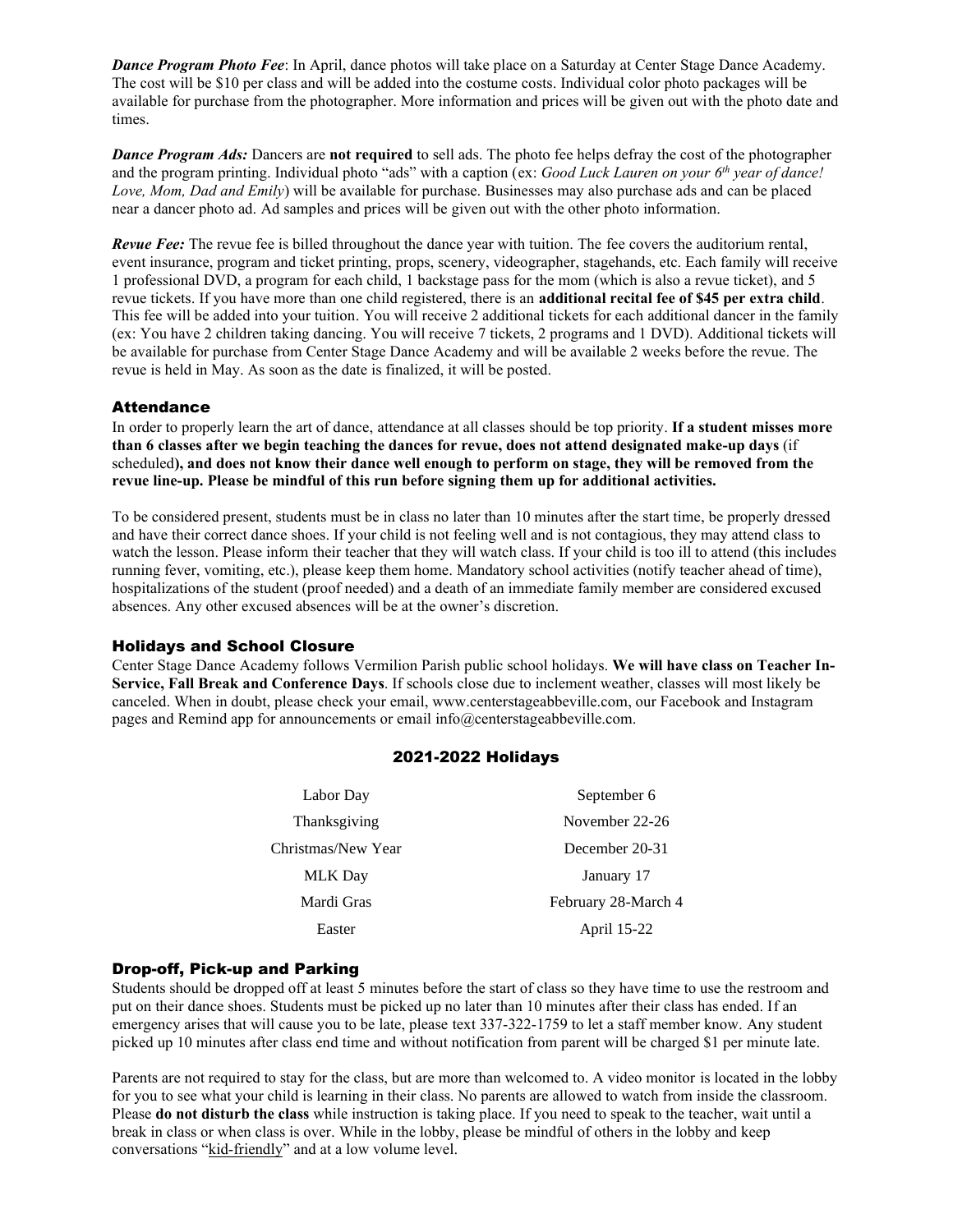*Dance Program Photo Fee*: In April, dance photos will take place on a Saturday at Center Stage Dance Academy. The cost will be \$10 per class and will be added into the costume costs. Individual color photo packages will be available for purchase from the photographer. More information and prices will be given out with the photo date and times.

*Dance Program Ads:* Dancers are **not required** to sell ads. The photo fee helps defray the cost of the photographer and the program printing. Individual photo "ads" with a caption (ex: *Good Luck Lauren on your 6 th year of dance! Love, Mom, Dad and Emily*) will be available for purchase. Businesses may also purchase ads and can be placed near a dancer photo ad. Ad samples and prices will be given out with the other photo information.

*Revue Fee:* The revue fee is billed throughout the dance year with tuition. The fee covers the auditorium rental, event insurance, program and ticket printing, props, scenery, videographer, stagehands, etc. Each family will receive 1 professional DVD, a program for each child, 1 backstage pass for the mom (which is also a revue ticket), and 5 revue tickets. If you have more than one child registered, there is an **additional recital fee of \$45 per extra child**. This fee will be added into your tuition. You will receive 2 additional tickets for each additional dancer in the family (ex: You have 2 children taking dancing. You will receive 7 tickets, 2 programs and 1 DVD). Additional tickets will be available for purchase from Center Stage Dance Academy and will be available 2 weeks before the revue. The revue is held in May. As soon as the date is finalized, it will be posted.

#### **Attendance**

In order to properly learn the art of dance, attendance at all classes should be top priority. **If a student misses more than 6 classes after we begin teaching the dances for revue, does not attend designated make-up days** (if scheduled**), and does not know their dance well enough to perform on stage, they will be removed from the revue line-up. Please be mindful of this run before signing them up for additional activities.**

To be considered present, students must be in class no later than 10 minutes after the start time, be properly dressed and have their correct dance shoes. If your child is not feeling well and is not contagious, they may attend class to watch the lesson. Please inform their teacher that they will watch class. If your child is too ill to attend (this includes running fever, vomiting, etc.), please keep them home. Mandatory school activities (notify teacher ahead of time), hospitalizations of the student (proof needed) and a death of an immediate family member are considered excused absences. Any other excused absences will be at the owner's discretion.

#### Holidays and School Closure

Center Stage Dance Academy follows Vermilion Parish public school holidays. **We will have class on Teacher In-Service, Fall Break and Conference Days**. If schools close due to inclement weather, classes will most likely be canceled. When in doubt, please check your email, www.centerstageabbeville.com, our Facebook and Instagram pages and Remind app for announcements or email info@centerstageabbeville.com.

#### 2021-2022 Holidays

| Labor Day          | September 6         |
|--------------------|---------------------|
| Thanksgiving       | November 22-26      |
| Christmas/New Year | December 20-31      |
| <b>MLK</b> Day     | January 17          |
| Mardi Gras         | February 28-March 4 |
| Easter             | April 15-22         |

#### Drop-off, Pick-up and Parking

Students should be dropped off at least 5 minutes before the start of class so they have time to use the restroom and put on their dance shoes. Students must be picked up no later than 10 minutes after their class has ended. If an emergency arises that will cause you to be late, please text 337-322-1759 to let a staff member know. Any student picked up 10 minutes after class end time and without notification from parent will be charged \$1 per minute late.

Parents are not required to stay for the class, but are more than welcomed to. A video monitor is located in the lobby for you to see what your child is learning in their class. No parents are allowed to watch from inside the classroom. Please **do not disturb the class** while instruction is taking place. If you need to speak to the teacher, wait until a break in class or when class is over. While in the lobby, please be mindful of others in the lobby and keep conversations "kid-friendly" and at a low volume level.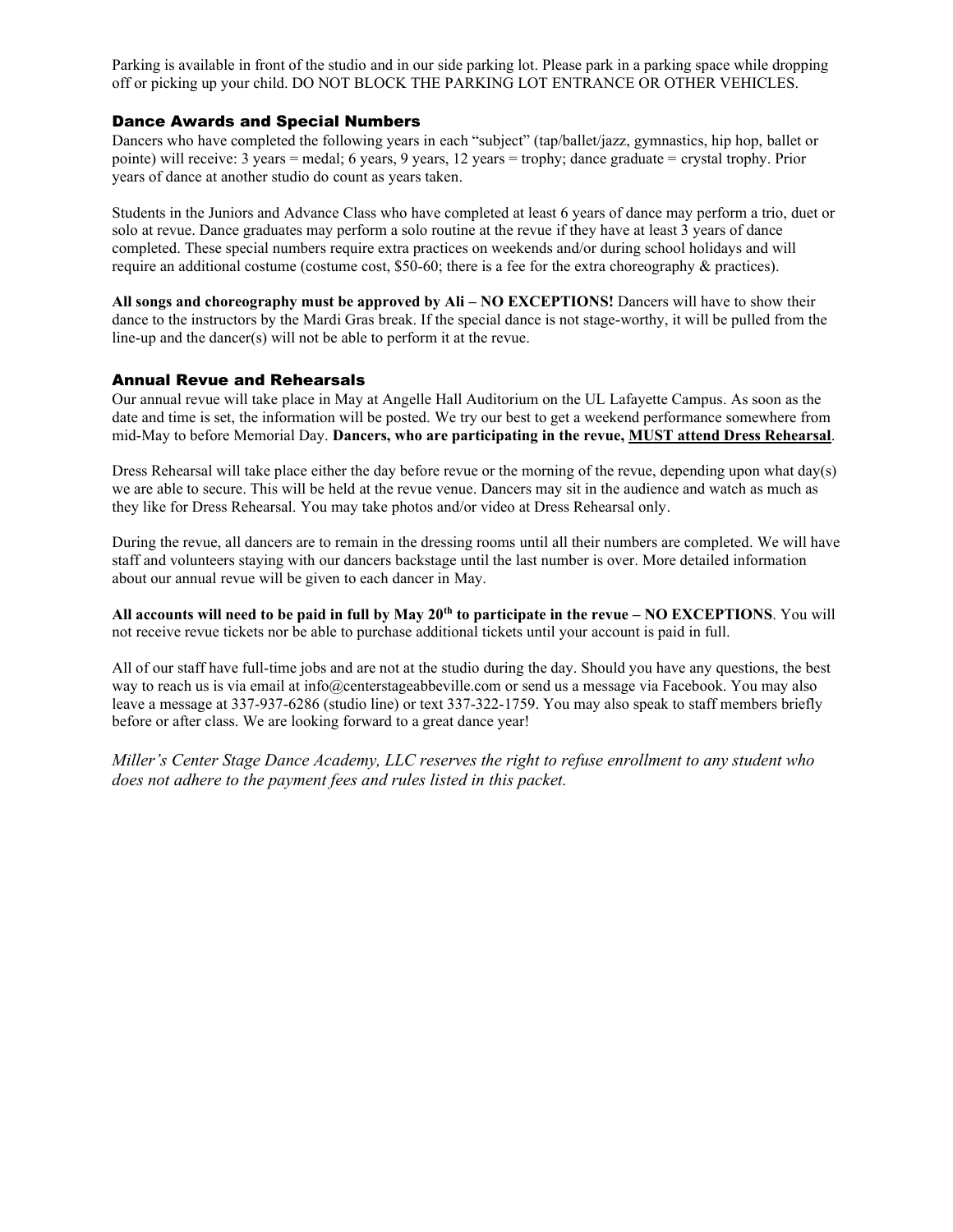Parking is available in front of the studio and in our side parking lot. Please park in a parking space while dropping off or picking up your child. DO NOT BLOCK THE PARKING LOT ENTRANCE OR OTHER VEHICLES.

#### Dance Awards and Special Numbers

Dancers who have completed the following years in each "subject" (tap/ballet/jazz, gymnastics, hip hop, ballet or pointe) will receive: 3 years = medal; 6 years, 9 years, 12 years = trophy; dance graduate = crystal trophy. Prior years of dance at another studio do count as years taken.

Students in the Juniors and Advance Class who have completed at least 6 years of dance may perform a trio, duet or solo at revue. Dance graduates may perform a solo routine at the revue if they have at least 3 years of dance completed. These special numbers require extra practices on weekends and/or during school holidays and will require an additional costume (costume cost, \$50-60; there is a fee for the extra choreography & practices).

**All songs and choreography must be approved by Ali – NO EXCEPTIONS! Dancers will have to show their** dance to the instructors by the Mardi Gras break. If the special dance is not stage-worthy, it will be pulled from the line-up and the dancer(s) will not be able to perform it at the revue.

#### Annual Revue and Rehearsals

Our annual revue will take place in May at Angelle Hall Auditorium on the UL Lafayette Campus. As soon as the date and time is set, the information will be posted. We try our best to get a weekend performance somewhere from mid-May to before Memorial Day. **Dancers, who are participating in the revue, MUST attend Dress Rehearsal**.

Dress Rehearsal will take place either the day before revue or the morning of the revue, depending upon what day(s) we are able to secure. This will be held at the revue venue. Dancers may sit in the audience and watch as much as they like for Dress Rehearsal. You may take photos and/or video at Dress Rehearsal only.

During the revue, all dancers are to remain in the dressing rooms until all their numbers are completed. We will have staff and volunteers staying with our dancers backstage until the last number is over. More detailed information about our annual revue will be given to each dancer in May.

**All accounts will need to be paid in full by May 20th to participate in the revue – NO EXCEPTIONS**. You will not receive revue tickets nor be able to purchase additional tickets until your account is paid in full.

All of our staff have full-time jobs and are not at the studio during the day. Should you have any questions, the best way to reach us is via email at [info@centerstageabbeville.com](mailto:info@centerstageabbeville.com) or send us a message via Facebook. You may also leave a message at 337-937-6286 (studio line) or text 337-322-1759. You may also speak to staff members briefly before or after class. We are looking forward to a great dance year!

*Miller's Center Stage Dance Academy, LLC reserves the right to refuse enrollment to any student who does not adhere to the payment fees and rules listed in this packet.*